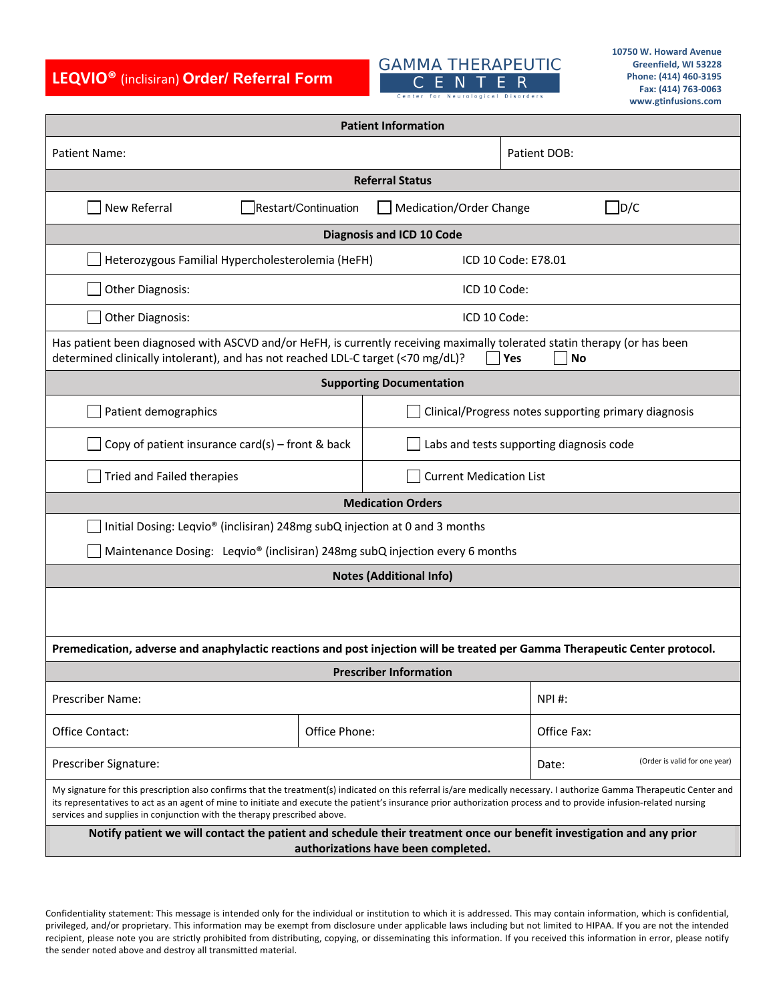**LEQVIO®** (inclisiran) **Order/ Referral Form**

## **GAMMA THERAPEUTIC** CENTER

| <b>Patient Information</b>                                                                                                                                                                                                                                                                                                                                                                                              |                      |                                                      |                     |                               |
|-------------------------------------------------------------------------------------------------------------------------------------------------------------------------------------------------------------------------------------------------------------------------------------------------------------------------------------------------------------------------------------------------------------------------|----------------------|------------------------------------------------------|---------------------|-------------------------------|
| Patient Name:                                                                                                                                                                                                                                                                                                                                                                                                           |                      |                                                      | Patient DOB:        |                               |
| <b>Referral Status</b>                                                                                                                                                                                                                                                                                                                                                                                                  |                      |                                                      |                     |                               |
| New Referral                                                                                                                                                                                                                                                                                                                                                                                                            | Restart/Continuation | Medication/Order Change                              |                     | D/C                           |
| <b>Diagnosis and ICD 10 Code</b>                                                                                                                                                                                                                                                                                                                                                                                        |                      |                                                      |                     |                               |
| Heterozygous Familial Hypercholesterolemia (HeFH)                                                                                                                                                                                                                                                                                                                                                                       |                      |                                                      | ICD 10 Code: E78.01 |                               |
| <b>Other Diagnosis:</b><br>ICD 10 Code:                                                                                                                                                                                                                                                                                                                                                                                 |                      |                                                      |                     |                               |
| Other Diagnosis:<br>ICD 10 Code:                                                                                                                                                                                                                                                                                                                                                                                        |                      |                                                      |                     |                               |
| Has patient been diagnosed with ASCVD and/or HeFH, is currently receiving maximally tolerated statin therapy (or has been<br>determined clinically intolerant), and has not reached LDL-C target (<70 mg/dL)?<br>Yes<br>No                                                                                                                                                                                              |                      |                                                      |                     |                               |
| <b>Supporting Documentation</b>                                                                                                                                                                                                                                                                                                                                                                                         |                      |                                                      |                     |                               |
| Patient demographics                                                                                                                                                                                                                                                                                                                                                                                                    |                      | Clinical/Progress notes supporting primary diagnosis |                     |                               |
| Copy of patient insurance card(s) – front & back                                                                                                                                                                                                                                                                                                                                                                        |                      | Labs and tests supporting diagnosis code             |                     |                               |
| Tried and Failed therapies                                                                                                                                                                                                                                                                                                                                                                                              |                      | <b>Current Medication List</b>                       |                     |                               |
| <b>Medication Orders</b>                                                                                                                                                                                                                                                                                                                                                                                                |                      |                                                      |                     |                               |
| Initial Dosing: Leqvio® (inclisiran) 248mg subQ injection at 0 and 3 months                                                                                                                                                                                                                                                                                                                                             |                      |                                                      |                     |                               |
| Maintenance Dosing: Leqvio® (inclisiran) 248mg subQ injection every 6 months                                                                                                                                                                                                                                                                                                                                            |                      |                                                      |                     |                               |
| <b>Notes (Additional Info)</b>                                                                                                                                                                                                                                                                                                                                                                                          |                      |                                                      |                     |                               |
|                                                                                                                                                                                                                                                                                                                                                                                                                         |                      |                                                      |                     |                               |
| Premedication, adverse and anaphylactic reactions and post injection will be treated per Gamma Therapeutic Center protocol.                                                                                                                                                                                                                                                                                             |                      |                                                      |                     |                               |
| <b>Prescriber Information</b>                                                                                                                                                                                                                                                                                                                                                                                           |                      |                                                      |                     |                               |
| Prescriber Name:                                                                                                                                                                                                                                                                                                                                                                                                        |                      |                                                      | <b>NPI#:</b>        |                               |
| Office Contact:                                                                                                                                                                                                                                                                                                                                                                                                         | Office Phone:        |                                                      | Office Fax:         |                               |
| Prescriber Signature:                                                                                                                                                                                                                                                                                                                                                                                                   |                      |                                                      | Date:               | (Order is valid for one year) |
| My signature for this prescription also confirms that the treatment(s) indicated on this referral is/are medically necessary. I authorize Gamma Therapeutic Center and<br>its representatives to act as an agent of mine to initiate and execute the patient's insurance prior authorization process and to provide infusion-related nursing<br>services and supplies in conjunction with the therapy prescribed above. |                      |                                                      |                     |                               |
| Notify patient we will contact the patient and schedule their treatment once our benefit investigation and any prior<br>authorizations have been completed.                                                                                                                                                                                                                                                             |                      |                                                      |                     |                               |

Confidentiality statement: This message is intended only for the individual or institution to which it is addressed. This may contain information, which is confidential, privileged, and/or proprietary. This information may be exempt from disclosure under applicable laws including but not limited to HIPAA. If you are not the intended recipient, please note you are strictly prohibited from distributing, copying, or disseminating this information. If you received this information in error, please notify the sender noted above and destroy all transmitted material.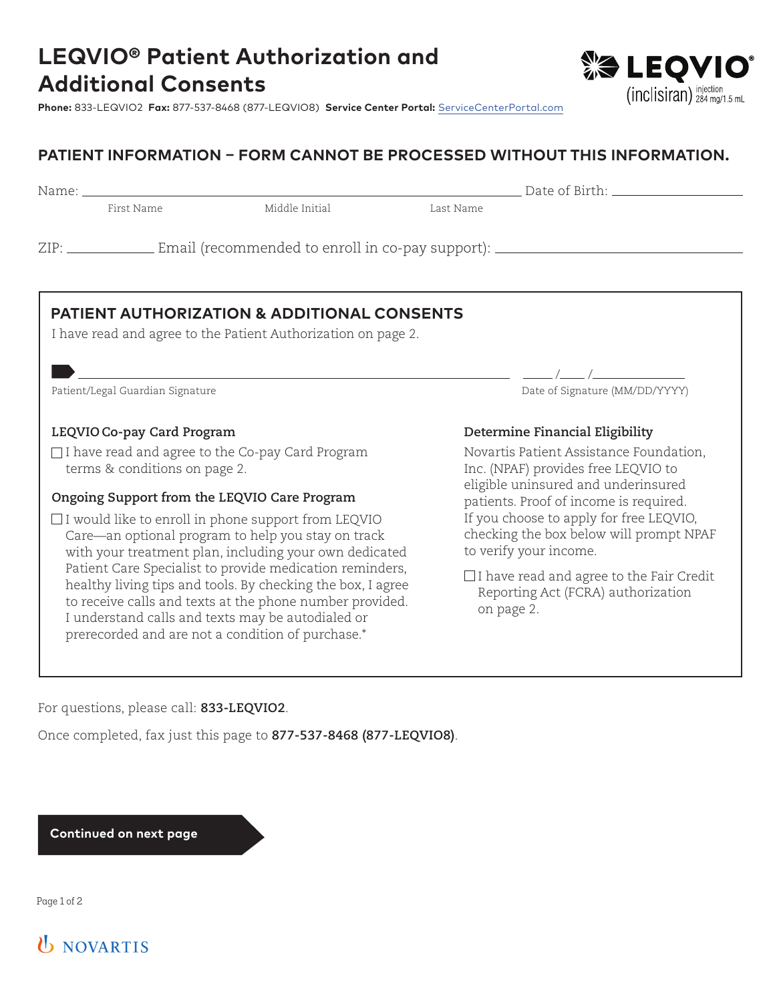

**Phone:** 833-LEQVIO2 **Fax:** 877-537-8468 (877-LEQVIO8) **Service Center Portal:** ServiceCenterPortal.com

### **PATIENT INFORMATION – FORM CANNOT BE PROCESSED WITHOUT THIS INFORMATION.**

Name: Date of Birth:

First Name Middle Initial Last Name

ZIP: Email (recommended to enroll in co-pay support):

### **PATIENT AUTHORIZATION & ADDITIONAL CONSENTS**

I have read and agree to the Patient Authorization on page 2.

### **LEQVIO Co-pay Card Program**

□I have read and agree to the Co-pay Card Program terms & conditions on page 2.

### **Ongoing Support from the LEQVIO Care Program**

 $\Box$  I would like to enroll in phone support from LEQVIO Care—an optional program to help you stay on track with your treatment plan, including your own dedicated Patient Care Specialist to provide medication reminders, healthy living tips and tools. By checking the box, I agree to receive calls and texts at the phone number provided. I understand calls and texts may be autodialed or prerecorded and are not a condition of purchase.\*

Patient/Legal Guardian Signature and Supervisors of Signature (MM/DD/YYYY)

### **Determine Financial Eligibility**

/ /

Novartis Patient Assistance Foundation, Inc. (NPAF) provides free LEQVIO to eligible uninsured and underinsured patients. Proof of income is required. If you choose to apply for free LEQVIO, checking the box below will prompt NPAF to verify your income.

 $\Box$  I have read and agree to the Fair Credit Reporting Act (FCRA) authorization on page 2.

For questions, please call: **833-LEQVIO2**.

Once completed, fax just this page to **877-537-8468 (877-LEQVIO8)**.

**Continued on next page**

Page 1 of 2

# **U** NOVARTIS